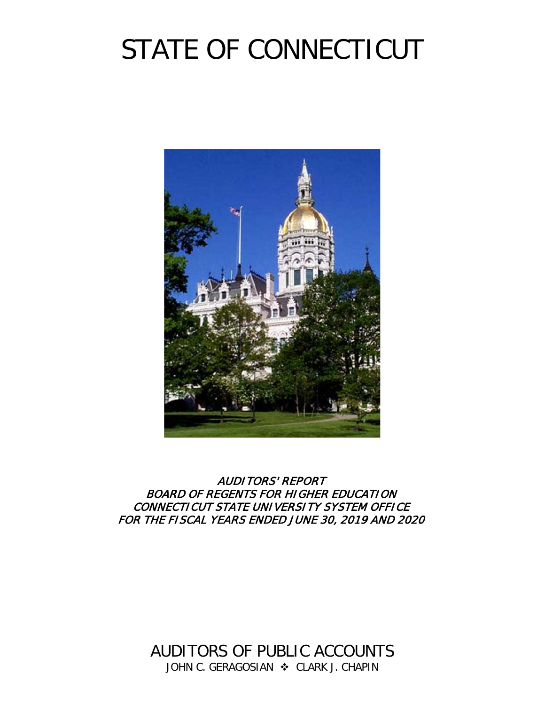# STATE OF CONNECTICUT



AUDITORS' REPORT BOARD OF REGENTS FOR HIGHER EDUCATION CONNECTICUT STATE UNIVERSITY SYSTEM OFFICE FOR THE FISCAL YEARS ENDED JUNE 30, 2019 AND 2020

> AUDITORS OF PUBLIC ACCOUNTS JOHN C. GERAGOSIAN  $\cdot$  CLARK J. CHAPIN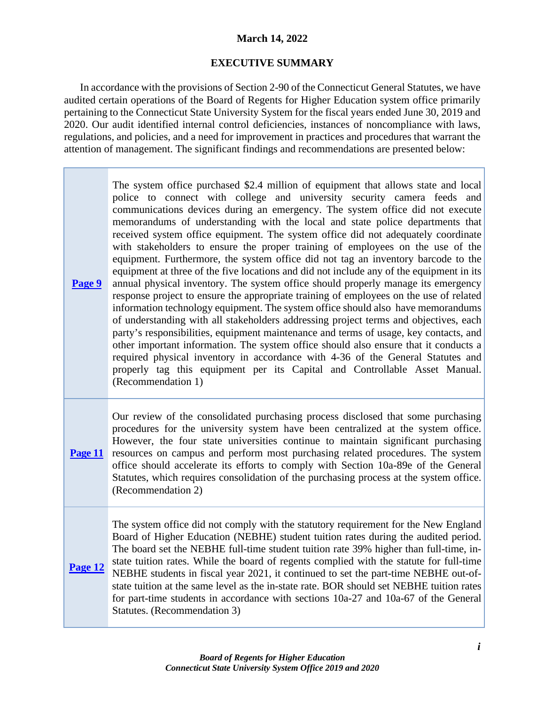# **March 14, 2022**

# **EXECUTIVE SUMMARY**

In accordance with the provisions of Section 2-90 of the Connecticut General Statutes, we have audited certain operations of the Board of Regents for Higher Education system office primarily pertaining to the Connecticut State University System for the fiscal years ended June 30, 2019 and 2020. Our audit identified internal control deficiencies, instances of noncompliance with laws, regulations, and policies, and a need for improvement in practices and procedures that warrant the attention of management. The significant findings and recommendations are presented below:

**[Page](#page-12-0) 9** The system office purchased \$2.4 million of equipment that allows state and local police to connect with college and university security camera feeds and communications devices during an emergency. The system office did not execute memorandums of understanding with the local and state police departments that received system office equipment. The system office did not adequately coordinate with stakeholders to ensure the proper training of employees on the use of the equipment. Furthermore, the system office did not tag an inventory barcode to the equipment at three of the five locations and did not include any of the equipment in its annual physical inventory. The system office should properly manage its emergency response project to ensure the appropriate training of employees on the use of related information technology equipment. The system office should also have memorandums of understanding with all stakeholders addressing project terms and objectives, each party's responsibilities, equipment maintenance and terms of usage, key contacts, and other important information. The system office should also ensure that it conducts a required physical inventory in accordance with 4-36 of the General Statutes and properly tag this equipment per its Capital and Controllable Asset Manual. (Recommendation 1)

**[Page 11](#page-14-0)** Our review of the consolidated purchasing process disclosed that some purchasing procedures for the university system have been centralized at the system office. However, the four state universities continue to maintain significant purchasing resources on campus and perform most purchasing related procedures. The system office should accelerate its efforts to comply with Section 10a-89e of the General Statutes, which requires consolidation of the purchasing process at the system office. (Recommendation 2)

**[Page 12](#page-15-0)** The system office did not comply with the statutory requirement for the New England Board of Higher Education (NEBHE) student tuition rates during the audited period. The board set the NEBHE full-time student tuition rate 39% higher than full-time, instate tuition rates. While the board of regents complied with the statute for full-time NEBHE students in fiscal year 2021, it continued to set the part-time NEBHE out-ofstate tuition at the same level as the in-state rate. BOR should set NEBHE tuition rates for part-time students in accordance with sections 10a-27 and 10a-67 of the General Statutes. (Recommendation 3)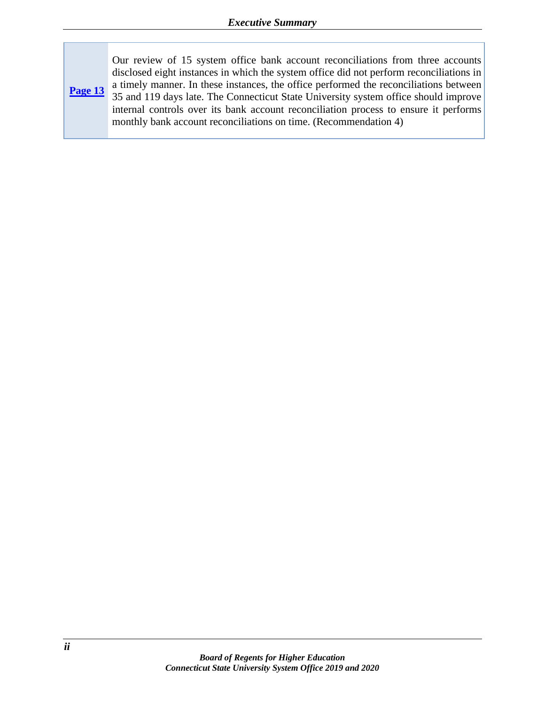**[Page](#page-16-0) 13** Our review of 15 system office bank account reconciliations from three accounts disclosed eight instances in which the system office did not perform reconciliations in a timely manner. In these instances, the office performed the reconciliations between 35 and 119 days late. The Connecticut State University system office should improve internal controls over its bank account reconciliation process to ensure it performs monthly bank account reconciliations on time. (Recommendation 4)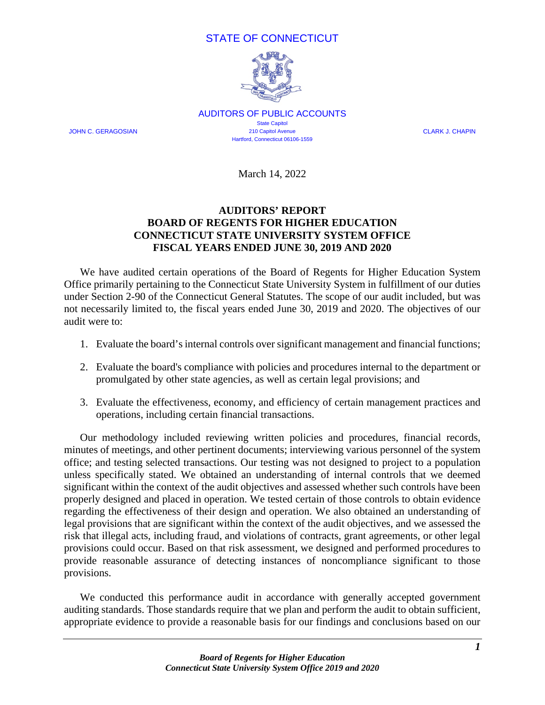# STATE OF CONNECTICUT



AUDITORS OF PUBLIC ACCOUNTS State Capitol JOHN C. GERAGOSIAN 210 Capitol Avenue CLARK J. CHAPIN Hartford, Connecticut 06106-1559

March 14, 2022

# **AUDITORS' REPORT BOARD OF REGENTS FOR HIGHER EDUCATION CONNECTICUT STATE UNIVERSITY SYSTEM OFFICE FISCAL YEARS ENDED JUNE 30, 2019 AND 2020**

We have audited certain operations of the Board of Regents for Higher Education System Office primarily pertaining to the Connecticut State University System in fulfillment of our duties under Section 2-90 of the Connecticut General Statutes. The scope of our audit included, but was not necessarily limited to, the fiscal years ended June 30, 2019 and 2020. The objectives of our audit were to:

- 1. Evaluate the board'sinternal controls over significant management and financial functions;
- 2. Evaluate the board's compliance with policies and procedures internal to the department or promulgated by other state agencies, as well as certain legal provisions; and
- 3. Evaluate the effectiveness, economy, and efficiency of certain management practices and operations, including certain financial transactions.

Our methodology included reviewing written policies and procedures, financial records, minutes of meetings, and other pertinent documents; interviewing various personnel of the system office; and testing selected transactions. Our testing was not designed to project to a population unless specifically stated. We obtained an understanding of internal controls that we deemed significant within the context of the audit objectives and assessed whether such controls have been properly designed and placed in operation. We tested certain of those controls to obtain evidence regarding the effectiveness of their design and operation. We also obtained an understanding of legal provisions that are significant within the context of the audit objectives, and we assessed the risk that illegal acts, including fraud, and violations of contracts, grant agreements, or other legal provisions could occur. Based on that risk assessment, we designed and performed procedures to provide reasonable assurance of detecting instances of noncompliance significant to those provisions.

We conducted this performance audit in accordance with generally accepted government auditing standards. Those standards require that we plan and perform the audit to obtain sufficient, appropriate evidence to provide a reasonable basis for our findings and conclusions based on our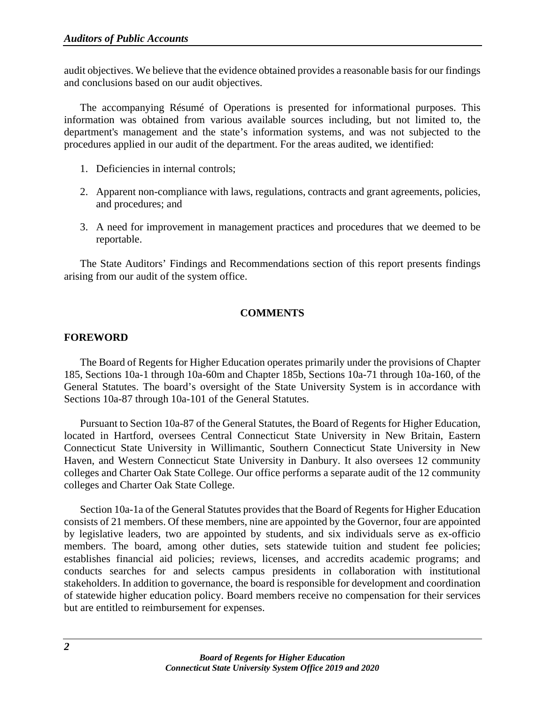audit objectives. We believe that the evidence obtained provides a reasonable basis for our findings and conclusions based on our audit objectives.

The accompanying Résumé of Operations is presented for informational purposes. This information was obtained from various available sources including, but not limited to, the department's management and the state's information systems, and was not subjected to the procedures applied in our audit of the department. For the areas audited, we identified:

- 1. Deficiencies in internal controls;
- 2. Apparent non-compliance with laws, regulations, contracts and grant agreements, policies, and procedures; and
- 3. A need for improvement in management practices and procedures that we deemed to be reportable.

The State Auditors' Findings and Recommendations section of this report presents findings arising from our audit of the system office.

#### **COMMENTS**

#### **FOREWORD**

The Board of Regents for Higher Education operates primarily under the provisions of Chapter 185, Sections 10a-1 through 10a-60m and Chapter 185b, Sections 10a-71 through 10a-160, of the General Statutes. The board's oversight of the State University System is in accordance with Sections 10a-87 through 10a-101 of the General Statutes.

Pursuant to Section 10a-87 of the General Statutes, the Board of Regents for Higher Education, located in Hartford, oversees Central Connecticut State University in New Britain, Eastern Connecticut State University in Willimantic, Southern Connecticut State University in New Haven, and Western Connecticut State University in Danbury. It also oversees 12 community colleges and Charter Oak State College. Our office performs a separate audit of the 12 community colleges and Charter Oak State College.

Section 10a-1a of the General Statutes provides that the Board of Regents for Higher Education consists of 21 members. Of these members, nine are appointed by the Governor, four are appointed by legislative leaders, two are appointed by students, and six individuals serve as ex-officio members. The board, among other duties, sets statewide tuition and student fee policies; establishes financial aid policies; reviews, licenses, and accredits academic programs; and conducts searches for and selects campus presidents in collaboration with institutional stakeholders. In addition to governance, the board is responsible for development and coordination of statewide higher education policy. Board members receive no compensation for their services but are entitled to reimbursement for expenses.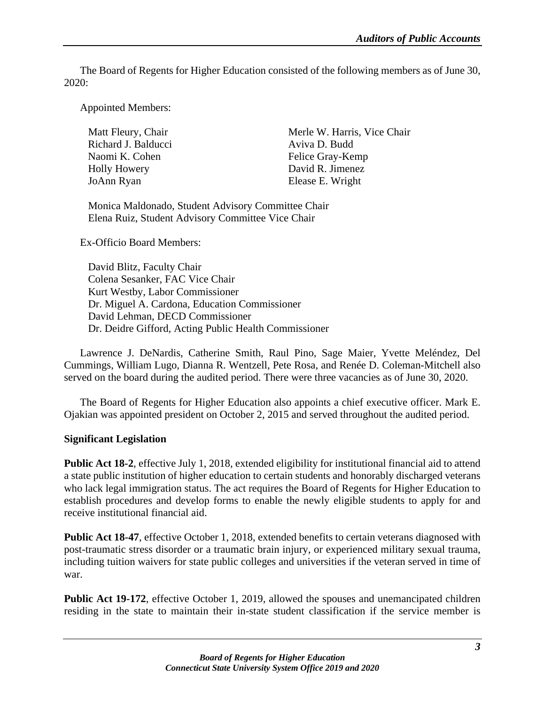The Board of Regents for Higher Education consisted of the following members as of June 30, 2020:

Appointed Members:

| Matt Fleury, Chair  | Merle W. Harris, Vice Chair |
|---------------------|-----------------------------|
| Richard J. Balducci | Aviva D. Budd               |
| Naomi K. Cohen      | Felice Gray-Kemp            |
| Holly Howery        | David R. Jimenez            |
| JoAnn Ryan          | Elease E. Wright            |

Monica Maldonado, Student Advisory Committee Chair Elena Ruiz, Student Advisory Committee Vice Chair

Ex-Officio Board Members:

David Blitz, Faculty Chair Colena Sesanker, FAC Vice Chair Kurt Westby, Labor Commissioner Dr. Miguel A. Cardona, Education Commissioner David Lehman, DECD Commissioner Dr. Deidre Gifford, Acting Public Health Commissioner

Lawrence J. DeNardis, Catherine Smith, Raul Pino, Sage Maier, Yvette Meléndez, Del Cummings, William Lugo, Dianna R. Wentzell, Pete Rosa, and Renée D. Coleman-Mitchell also served on the board during the audited period. There were three vacancies as of June 30, 2020.

The Board of Regents for Higher Education also appoints a chief executive officer. Mark E. Ojakian was appointed president on October 2, 2015 and served throughout the audited period.

#### **Significant Legislation**

**Public Act 18-2**, effective July 1, 2018, extended eligibility for institutional financial aid to attend a state public institution of higher education to certain students and honorably discharged veterans who lack legal immigration status. The act requires the Board of Regents for Higher Education to establish procedures and develop forms to enable the newly eligible students to apply for and receive institutional financial aid.

**Public Act 18-47**, effective October 1, 2018, extended benefits to certain veterans diagnosed with post-traumatic stress disorder or a traumatic brain injury, or experienced military sexual trauma, including tuition waivers for state public colleges and universities if the veteran served in time of war.

**Public Act 19-172**, effective October 1, 2019, allowed the spouses and unemancipated children residing in the state to maintain their in-state student classification if the service member is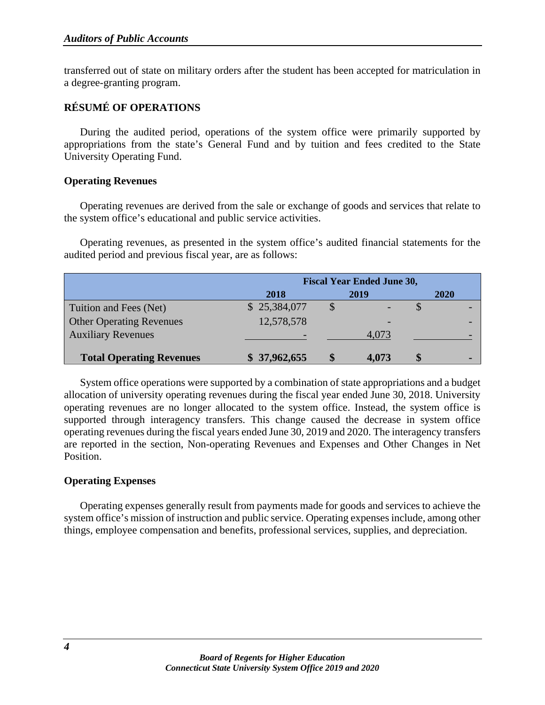transferred out of state on military orders after the student has been accepted for matriculation in a degree-granting program.

# **RÉSUMÉ OF OPERATIONS**

During the audited period, operations of the system office were primarily supported by appropriations from the state's General Fund and by tuition and fees credited to the State University Operating Fund.

#### **Operating Revenues**

Operating revenues are derived from the sale or exchange of goods and services that relate to the system office's educational and public service activities.

Operating revenues, as presented in the system office's audited financial statements for the audited period and previous fiscal year, are as follows:

|                                 | <b>Fiscal Year Ended June 30,</b> |  |       |  |             |
|---------------------------------|-----------------------------------|--|-------|--|-------------|
|                                 | 2018                              |  | 2019  |  | <b>2020</b> |
| Tuition and Fees (Net)          | \$25,384,077                      |  |       |  |             |
| <b>Other Operating Revenues</b> | 12,578,578                        |  |       |  |             |
| <b>Auxiliary Revenues</b>       |                                   |  | 4,073 |  |             |
| <b>Total Operating Revenues</b> | \$37,962,655                      |  | 4,073 |  |             |

System office operations were supported by a combination of state appropriations and a budget allocation of university operating revenues during the fiscal year ended June 30, 2018. University operating revenues are no longer allocated to the system office. Instead, the system office is supported through interagency transfers. This change caused the decrease in system office operating revenues during the fiscal years ended June 30, 2019 and 2020. The interagency transfers are reported in the section, Non-operating Revenues and Expenses and Other Changes in Net Position.

#### **Operating Expenses**

Operating expenses generally result from payments made for goods and services to achieve the system office's mission of instruction and public service. Operating expenses include, among other things, employee compensation and benefits, professional services, supplies, and depreciation.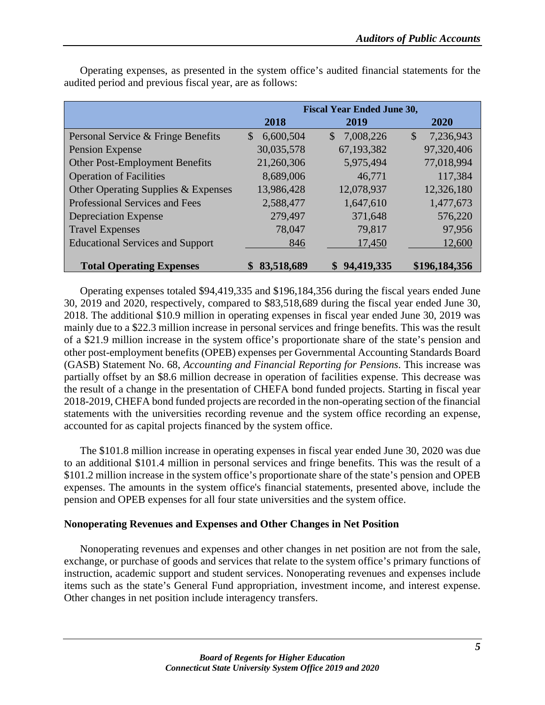|                                         |                           | <b>Fiscal Year Ended June 30,</b> |                                        |
|-----------------------------------------|---------------------------|-----------------------------------|----------------------------------------|
|                                         | 2018                      | 2019                              | 2020                                   |
| Personal Service & Fringe Benefits      | 6,600,504<br>$\mathbb{S}$ | 7,008,226<br>$\mathbb{S}$         | 7,236,943<br>$\boldsymbol{\mathsf{S}}$ |
| Pension Expense                         | 30,035,578                | 67, 193, 382                      | 97,320,406                             |
| Other Post-Employment Benefits          | 21,260,306                | 5,975,494                         | 77,018,994                             |
| <b>Operation of Facilities</b>          | 8,689,006                 | 46,771                            | 117,384                                |
| Other Operating Supplies & Expenses     | 13,986,428                | 12,078,937                        | 12,326,180                             |
| Professional Services and Fees          | 2,588,477                 | 1,647,610                         | 1,477,673                              |
| <b>Depreciation Expense</b>             | 279,497                   | 371,648                           | 576,220                                |
| <b>Travel Expenses</b>                  | 78,047                    | 79,817                            | 97,956                                 |
| <b>Educational Services and Support</b> | 846                       | 17,450                            | 12,600                                 |
| <b>Total Operating Expenses</b>         | 83,518,689<br>\$          | \$94,419,335                      | \$196,184,356                          |

Operating expenses, as presented in the system office's audited financial statements for the audited period and previous fiscal year, are as follows:

Operating expenses totaled \$94,419,335 and \$196,184,356 during the fiscal years ended June 30, 2019 and 2020, respectively, compared to \$83,518,689 during the fiscal year ended June 30, 2018. The additional \$10.9 million in operating expenses in fiscal year ended June 30, 2019 was mainly due to a \$22.3 million increase in personal services and fringe benefits. This was the result of a \$21.9 million increase in the system office's proportionate share of the state's pension and other post-employment benefits (OPEB) expenses per Governmental Accounting Standards Board (GASB) Statement No. 68, *Accounting and Financial Reporting for Pensions*. This increase was partially offset by an \$8.6 million decrease in operation of facilities expense. This decrease was the result of a change in the presentation of CHEFA bond funded projects. Starting in fiscal year 2018-2019, CHEFA bond funded projects are recorded in the non-operating section of the financial statements with the universities recording revenue and the system office recording an expense, accounted for as capital projects financed by the system office.

The \$101.8 million increase in operating expenses in fiscal year ended June 30, 2020 was due to an additional \$101.4 million in personal services and fringe benefits. This was the result of a \$101.2 million increase in the system office's proportionate share of the state's pension and OPEB expenses. The amounts in the system office's financial statements, presented above, include the pension and OPEB expenses for all four state universities and the system office.

# **Nonoperating Revenues and Expenses and Other Changes in Net Position**

Nonoperating revenues and expenses and other changes in net position are not from the sale, exchange, or purchase of goods and services that relate to the system office's primary functions of instruction, academic support and student services. Nonoperating revenues and expenses include items such as the state's General Fund appropriation, investment income, and interest expense. Other changes in net position include interagency transfers.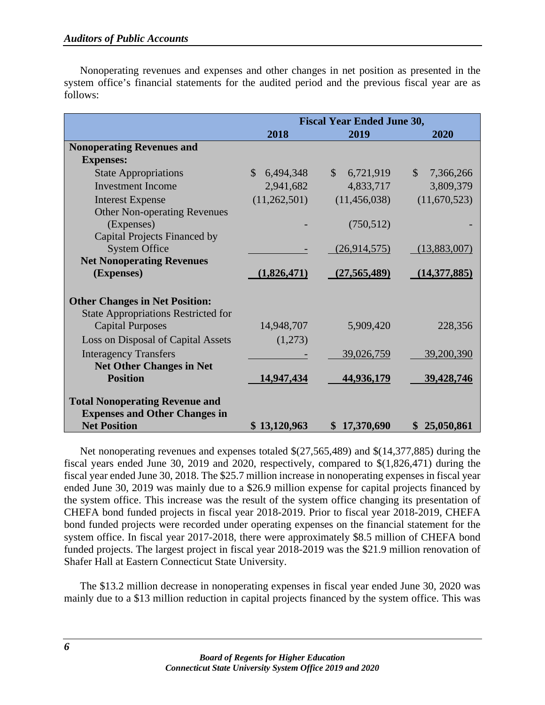|          |  | Nonoperating revenues and expenses and other changes in net position as presented in the        |  |  |  |  |  |
|----------|--|-------------------------------------------------------------------------------------------------|--|--|--|--|--|
|          |  | system office's financial statements for the audited period and the previous fiscal year are as |  |  |  |  |  |
| follows: |  |                                                                                                 |  |  |  |  |  |

|                                                             |                            | <b>Fiscal Year Ended June 30,</b> |                           |
|-------------------------------------------------------------|----------------------------|-----------------------------------|---------------------------|
|                                                             | 2018                       | 2019                              | 2020                      |
| <b>Nonoperating Revenues and</b>                            |                            |                                   |                           |
| <b>Expenses:</b>                                            |                            |                                   |                           |
| <b>State Appropriations</b>                                 | $\mathcal{S}$<br>6,494,348 | $\mathbb{S}$<br>6,721,919         | $\mathbb{S}$<br>7,366,266 |
| <b>Investment Income</b>                                    | 2,941,682                  | 4,833,717                         | 3,809,379                 |
| <b>Interest Expense</b>                                     | (11,262,501)               | (11, 456, 038)                    | (11,670,523)              |
| <b>Other Non-operating Revenues</b>                         |                            |                                   |                           |
| (Expenses)                                                  |                            | (750, 512)                        |                           |
| Capital Projects Financed by                                |                            |                                   |                           |
| <b>System Office</b>                                        |                            | (26,914,575)                      | (13,883,007)              |
| <b>Net Nonoperating Revenues</b>                            |                            |                                   |                           |
| (Expenses)                                                  | (1,826,471)                | (27, 565, 489)                    | (14,377,885)              |
|                                                             |                            |                                   |                           |
| <b>Other Changes in Net Position:</b>                       |                            |                                   |                           |
| <b>State Appropriations Restricted for</b>                  |                            |                                   |                           |
| <b>Capital Purposes</b>                                     | 14,948,707                 | 5,909,420                         | 228,356                   |
| Loss on Disposal of Capital Assets                          | (1,273)                    |                                   |                           |
| <b>Interagency Transfers</b>                                |                            | 39,026,759                        | 39,200,390                |
| <b>Net Other Changes in Net</b>                             |                            |                                   |                           |
| <b>Position</b>                                             | 14,947,434                 | 44,936,179                        | 39,428,746                |
|                                                             |                            |                                   |                           |
| <b>Total Nonoperating Revenue and</b>                       |                            |                                   |                           |
| <b>Expenses and Other Changes in</b><br><b>Net Position</b> | \$13,120,963               | \$17,370,690                      | 25,050,861<br>\$          |

Net nonoperating revenues and expenses totaled \$(27,565,489) and \$(14,377,885) during the fiscal years ended June 30, 2019 and 2020, respectively, compared to \$(1,826,471) during the fiscal year ended June 30, 2018. The \$25.7 million increase in nonoperating expenses in fiscal year ended June 30, 2019 was mainly due to a \$26.9 million expense for capital projects financed by the system office. This increase was the result of the system office changing its presentation of CHEFA bond funded projects in fiscal year 2018-2019. Prior to fiscal year 2018-2019, CHEFA bond funded projects were recorded under operating expenses on the financial statement for the system office. In fiscal year 2017-2018, there were approximately \$8.5 million of CHEFA bond funded projects. The largest project in fiscal year 2018-2019 was the \$21.9 million renovation of Shafer Hall at Eastern Connecticut State University.

The \$13.2 million decrease in nonoperating expenses in fiscal year ended June 30, 2020 was mainly due to a \$13 million reduction in capital projects financed by the system office. This was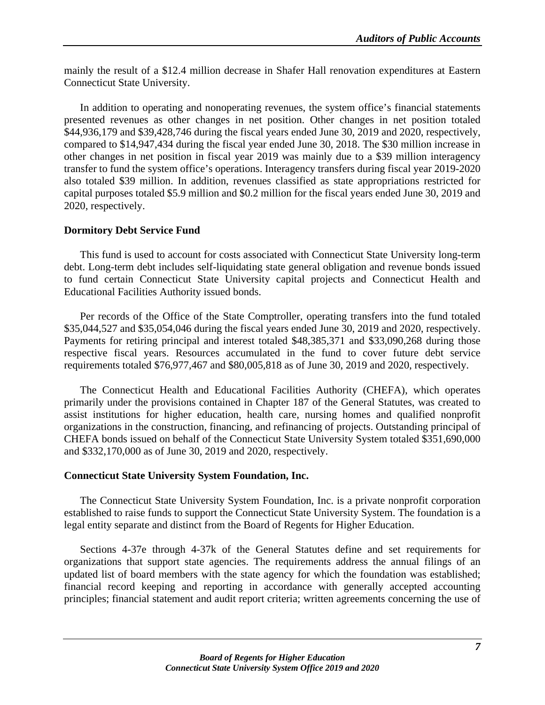mainly the result of a \$12.4 million decrease in Shafer Hall renovation expenditures at Eastern Connecticut State University.

In addition to operating and nonoperating revenues, the system office's financial statements presented revenues as other changes in net position. Other changes in net position totaled \$44,936,179 and \$39,428,746 during the fiscal years ended June 30, 2019 and 2020, respectively, compared to \$14,947,434 during the fiscal year ended June 30, 2018. The \$30 million increase in other changes in net position in fiscal year 2019 was mainly due to a \$39 million interagency transfer to fund the system office's operations. Interagency transfers during fiscal year 2019-2020 also totaled \$39 million. In addition, revenues classified as state appropriations restricted for capital purposes totaled \$5.9 million and \$0.2 million for the fiscal years ended June 30, 2019 and 2020, respectively.

#### **Dormitory Debt Service Fund**

This fund is used to account for costs associated with Connecticut State University long-term debt. Long-term debt includes self-liquidating state general obligation and revenue bonds issued to fund certain Connecticut State University capital projects and Connecticut Health and Educational Facilities Authority issued bonds.

Per records of the Office of the State Comptroller, operating transfers into the fund totaled \$35,044,527 and \$35,054,046 during the fiscal years ended June 30, 2019 and 2020, respectively. Payments for retiring principal and interest totaled \$48,385,371 and \$33,090,268 during those respective fiscal years. Resources accumulated in the fund to cover future debt service requirements totaled \$76,977,467 and \$80,005,818 as of June 30, 2019 and 2020, respectively.

The Connecticut Health and Educational Facilities Authority (CHEFA), which operates primarily under the provisions contained in Chapter 187 of the General Statutes, was created to assist institutions for higher education, health care, nursing homes and qualified nonprofit organizations in the construction, financing, and refinancing of projects. Outstanding principal of CHEFA bonds issued on behalf of the Connecticut State University System totaled \$351,690,000 and \$332,170,000 as of June 30, 2019 and 2020, respectively.

#### **Connecticut State University System Foundation, Inc.**

The Connecticut State University System Foundation, Inc. is a private nonprofit corporation established to raise funds to support the Connecticut State University System. The foundation is a legal entity separate and distinct from the Board of Regents for Higher Education.

Sections 4-37e through 4-37k of the General Statutes define and set requirements for organizations that support state agencies. The requirements address the annual filings of an updated list of board members with the state agency for which the foundation was established; financial record keeping and reporting in accordance with generally accepted accounting principles; financial statement and audit report criteria; written agreements concerning the use of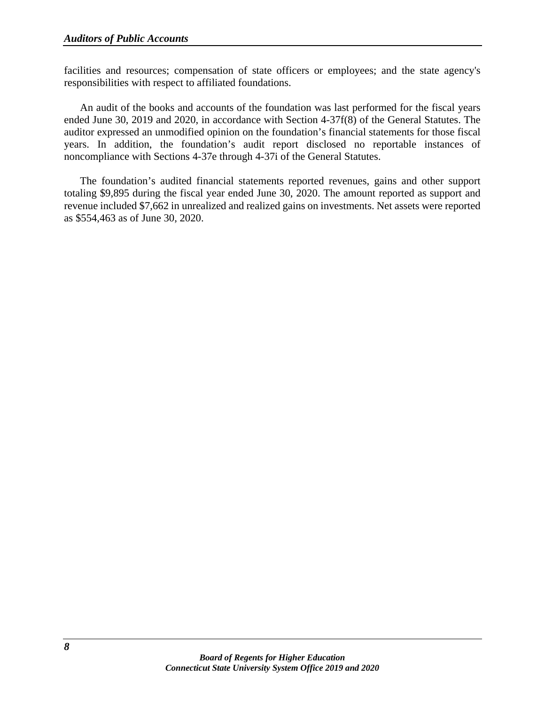facilities and resources; compensation of state officers or employees; and the state agency's responsibilities with respect to affiliated foundations.

An audit of the books and accounts of the foundation was last performed for the fiscal years ended June 30, 2019 and 2020, in accordance with Section 4-37f(8) of the General Statutes. The auditor expressed an unmodified opinion on the foundation's financial statements for those fiscal years. In addition, the foundation's audit report disclosed no reportable instances of noncompliance with Sections 4-37e through 4-37i of the General Statutes.

The foundation's audited financial statements reported revenues, gains and other support totaling \$9,895 during the fiscal year ended June 30, 2020. The amount reported as support and revenue included \$7,662 in unrealized and realized gains on investments. Net assets were reported as \$554,463 as of June 30, 2020.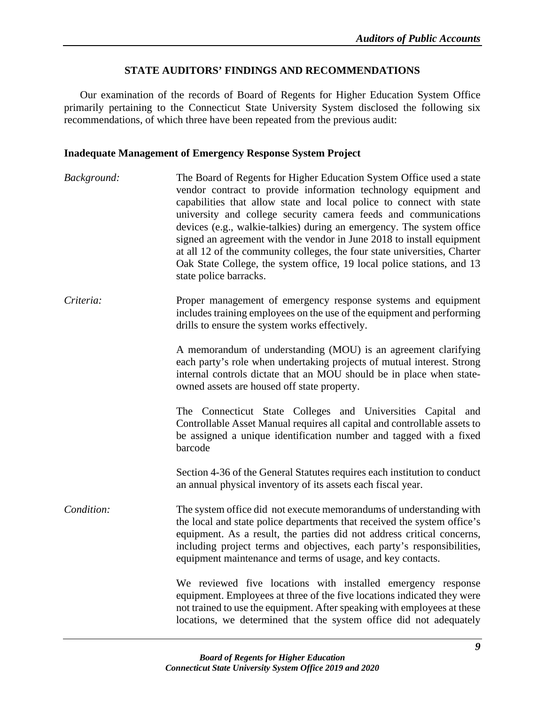#### **STATE AUDITORS' FINDINGS AND RECOMMENDATIONS**

Our examination of the records of Board of Regents for Higher Education System Office primarily pertaining to the Connecticut State University System disclosed the following six recommendations, of which three have been repeated from the previous audit:

#### <span id="page-12-0"></span>**Inadequate Management of Emergency Response System Project**

*Background:* The Board of Regents for Higher Education System Office used a state vendor contract to provide information technology equipment and capabilities that allow state and local police to connect with state university and college security camera feeds and communications devices (e.g., walkie-talkies) during an emergency. The system office signed an agreement with the vendor in June 2018 to install equipment at all 12 of the community colleges, the four state universities, Charter Oak State College, the system office, 19 local police stations, and 13 state police barracks. *Criteria:* Proper management of emergency response systems and equipment includes training employees on the use of the equipment and performing drills to ensure the system works effectively. A memorandum of understanding (MOU) is an agreement clarifying each party's role when undertaking projects of mutual interest. Strong internal controls dictate that an MOU should be in place when stateowned assets are housed off state property. The Connecticut State Colleges and Universities Capital and Controllable Asset Manual requires all capital and controllable assets to be assigned a unique identification number and tagged with a fixed barcode Section 4-36 of the General Statutes requires each institution to conduct an annual physical inventory of its assets each fiscal year. *Condition:* The system office did not execute memorandums of understanding with the local and state police departments that received the system office's equipment. As a result, the parties did not address critical concerns, including project terms and objectives, each party's responsibilities, equipment maintenance and terms of usage, and key contacts. We reviewed five locations with installed emergency response equipment. Employees at three of the five locations indicated they were not trained to use the equipment. After speaking with employees at these locations, we determined that the system office did not adequately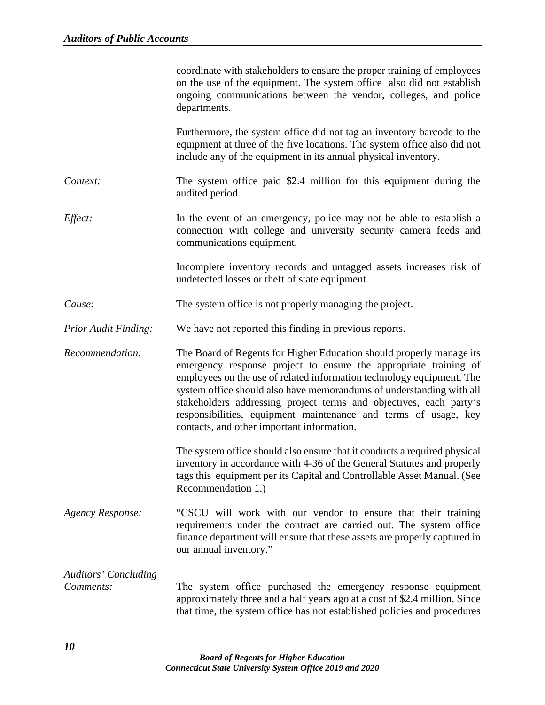|                                          | coordinate with stakeholders to ensure the proper training of employees<br>on the use of the equipment. The system office also did not establish<br>ongoing communications between the vendor, colleges, and police<br>departments.                                                                                                                                                                                                                                              |
|------------------------------------------|----------------------------------------------------------------------------------------------------------------------------------------------------------------------------------------------------------------------------------------------------------------------------------------------------------------------------------------------------------------------------------------------------------------------------------------------------------------------------------|
|                                          | Furthermore, the system office did not tag an inventory barcode to the<br>equipment at three of the five locations. The system office also did not<br>include any of the equipment in its annual physical inventory.                                                                                                                                                                                                                                                             |
| Context:                                 | The system office paid \$2.4 million for this equipment during the<br>audited period.                                                                                                                                                                                                                                                                                                                                                                                            |
| Effect:                                  | In the event of an emergency, police may not be able to establish a<br>connection with college and university security camera feeds and<br>communications equipment.                                                                                                                                                                                                                                                                                                             |
|                                          | Incomplete inventory records and untagged assets increases risk of<br>undetected losses or theft of state equipment.                                                                                                                                                                                                                                                                                                                                                             |
| Cause:                                   | The system office is not properly managing the project.                                                                                                                                                                                                                                                                                                                                                                                                                          |
| <b>Prior Audit Finding:</b>              | We have not reported this finding in previous reports.                                                                                                                                                                                                                                                                                                                                                                                                                           |
| Recommendation:                          | The Board of Regents for Higher Education should properly manage its<br>emergency response project to ensure the appropriate training of<br>employees on the use of related information technology equipment. The<br>system office should also have memorandums of understanding with all<br>stakeholders addressing project terms and objectives, each party's<br>responsibilities, equipment maintenance and terms of usage, key<br>contacts, and other important information. |
|                                          | The system office should also ensure that it conducts a required physical<br>inventory in accordance with 4-36 of the General Statutes and properly<br>tags this equipment per its Capital and Controllable Asset Manual. (See<br>Recommendation 1.)                                                                                                                                                                                                                             |
| Agency Response:                         | "CSCU will work with our vendor to ensure that their training<br>requirements under the contract are carried out. The system office<br>finance department will ensure that these assets are properly captured in<br>our annual inventory."                                                                                                                                                                                                                                       |
| <b>Auditors' Concluding</b><br>Comments: | The system office purchased the emergency response equipment<br>approximately three and a half years ago at a cost of \$2.4 million. Since<br>that time, the system office has not established policies and procedures                                                                                                                                                                                                                                                           |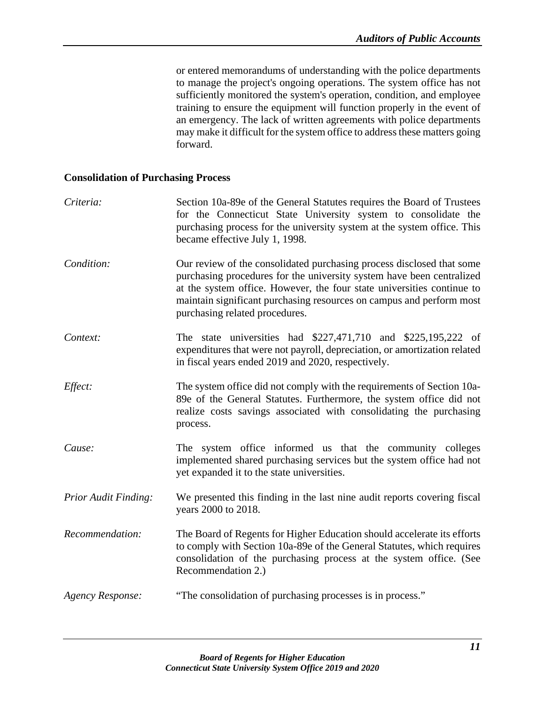or entered memorandums of understanding with the police departments to manage the project's ongoing operations. The system office has not sufficiently monitored the system's operation, condition, and employee training to ensure the equipment will function properly in the event of an emergency. The lack of written agreements with police departments may make it difficult for the system office to address these matters going forward.

#### <span id="page-14-0"></span>**Consolidation of Purchasing Process**

| Criteria:                   | Section 10a-89e of the General Statutes requires the Board of Trustees<br>for the Connecticut State University system to consolidate the<br>purchasing process for the university system at the system office. This<br>became effective July 1, 1998.                                                                              |
|-----------------------------|------------------------------------------------------------------------------------------------------------------------------------------------------------------------------------------------------------------------------------------------------------------------------------------------------------------------------------|
| Condition:                  | Our review of the consolidated purchasing process disclosed that some<br>purchasing procedures for the university system have been centralized<br>at the system office. However, the four state universities continue to<br>maintain significant purchasing resources on campus and perform most<br>purchasing related procedures. |
| Context:                    | The state universities had \$227,471,710 and \$225,195,222 of<br>expenditures that were not payroll, depreciation, or amortization related<br>in fiscal years ended 2019 and 2020, respectively.                                                                                                                                   |
| Effect:                     | The system office did not comply with the requirements of Section 10a-<br>89e of the General Statutes. Furthermore, the system office did not<br>realize costs savings associated with consolidating the purchasing<br>process.                                                                                                    |
| Cause:                      | The system office informed us that the community colleges<br>implemented shared purchasing services but the system office had not<br>yet expanded it to the state universities.                                                                                                                                                    |
| <b>Prior Audit Finding:</b> | We presented this finding in the last nine audit reports covering fiscal<br>years 2000 to 2018.                                                                                                                                                                                                                                    |
| Recommendation:             | The Board of Regents for Higher Education should accelerate its efforts<br>to comply with Section 10a-89e of the General Statutes, which requires<br>consolidation of the purchasing process at the system office. (See<br>Recommendation 2.)                                                                                      |
| Agency Response:            | "The consolidation of purchasing processes is in process."                                                                                                                                                                                                                                                                         |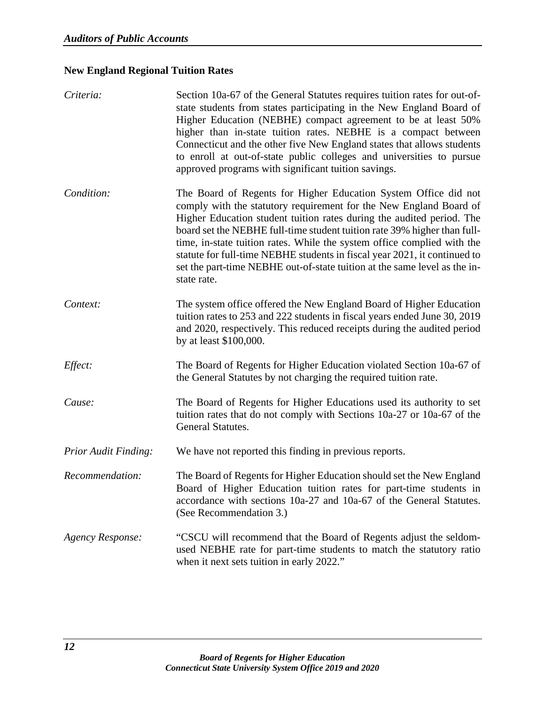# <span id="page-15-0"></span>**New England Regional Tuition Rates**

| Criteria:                   | Section 10a-67 of the General Statutes requires tuition rates for out-of-<br>state students from states participating in the New England Board of<br>Higher Education (NEBHE) compact agreement to be at least 50%<br>higher than in-state tuition rates. NEBHE is a compact between<br>Connecticut and the other five New England states that allows students<br>to enroll at out-of-state public colleges and universities to pursue<br>approved programs with significant tuition savings.                                                  |
|-----------------------------|------------------------------------------------------------------------------------------------------------------------------------------------------------------------------------------------------------------------------------------------------------------------------------------------------------------------------------------------------------------------------------------------------------------------------------------------------------------------------------------------------------------------------------------------|
| Condition:                  | The Board of Regents for Higher Education System Office did not<br>comply with the statutory requirement for the New England Board of<br>Higher Education student tuition rates during the audited period. The<br>board set the NEBHE full-time student tuition rate 39% higher than full-<br>time, in-state tuition rates. While the system office complied with the<br>statute for full-time NEBHE students in fiscal year 2021, it continued to<br>set the part-time NEBHE out-of-state tuition at the same level as the in-<br>state rate. |
| Context:                    | The system office offered the New England Board of Higher Education<br>tuition rates to 253 and 222 students in fiscal years ended June 30, 2019<br>and 2020, respectively. This reduced receipts during the audited period<br>by at least \$100,000.                                                                                                                                                                                                                                                                                          |
| Effect:                     | The Board of Regents for Higher Education violated Section 10a-67 of<br>the General Statutes by not charging the required tuition rate.                                                                                                                                                                                                                                                                                                                                                                                                        |
| Cause:                      | The Board of Regents for Higher Educations used its authority to set<br>tuition rates that do not comply with Sections 10a-27 or 10a-67 of the<br>General Statutes.                                                                                                                                                                                                                                                                                                                                                                            |
| <b>Prior Audit Finding:</b> | We have not reported this finding in previous reports.                                                                                                                                                                                                                                                                                                                                                                                                                                                                                         |
| Recommendation:             | The Board of Regents for Higher Education should set the New England<br>Board of Higher Education tuition rates for part-time students in<br>accordance with sections 10a-27 and 10a-67 of the General Statutes.<br>(See Recommendation 3.)                                                                                                                                                                                                                                                                                                    |
| <b>Agency Response:</b>     | "CSCU will recommend that the Board of Regents adjust the seldom-<br>used NEBHE rate for part-time students to match the statutory ratio<br>when it next sets tuition in early 2022."                                                                                                                                                                                                                                                                                                                                                          |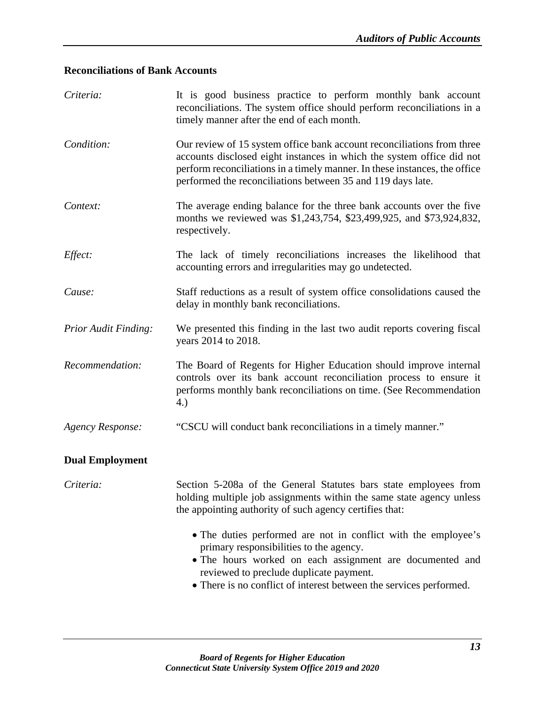# <span id="page-16-0"></span>**Reconciliations of Bank Accounts**

| Criteria:                   | It is good business practice to perform monthly bank account<br>reconciliations. The system office should perform reconciliations in a<br>timely manner after the end of each month.                                                                                                         |
|-----------------------------|----------------------------------------------------------------------------------------------------------------------------------------------------------------------------------------------------------------------------------------------------------------------------------------------|
| Condition:                  | Our review of 15 system office bank account reconciliations from three<br>accounts disclosed eight instances in which the system office did not<br>perform reconciliations in a timely manner. In these instances, the office<br>performed the reconciliations between 35 and 119 days late. |
| Context:                    | The average ending balance for the three bank accounts over the five<br>months we reviewed was \$1,243,754, \$23,499,925, and \$73,924,832,<br>respectively.                                                                                                                                 |
| Effect:                     | The lack of timely reconciliations increases the likelihood that<br>accounting errors and irregularities may go undetected.                                                                                                                                                                  |
| Cause:                      | Staff reductions as a result of system office consolidations caused the<br>delay in monthly bank reconciliations.                                                                                                                                                                            |
| <b>Prior Audit Finding:</b> | We presented this finding in the last two audit reports covering fiscal<br>years 2014 to 2018.                                                                                                                                                                                               |
| Recommendation:             | The Board of Regents for Higher Education should improve internal<br>controls over its bank account reconciliation process to ensure it<br>performs monthly bank reconciliations on time. (See Recommendation<br>4.)                                                                         |
| <b>Agency Response:</b>     | "CSCU will conduct bank reconciliations in a timely manner."                                                                                                                                                                                                                                 |
| <b>Dual Employment</b>      |                                                                                                                                                                                                                                                                                              |
| Criteria:                   | Section 5-208a of the General Statutes bars state employees from<br>holding multiple job assignments within the same state agency unless<br>the appointing authority of such agency certifies that:                                                                                          |
|                             | • The duties performed are not in conflict with the employee's<br>primary responsibilities to the agency.<br>• The hours worked on each assignment are documented and<br>reviewed to preclude duplicate payment.<br>• There is no conflict of interest between the services performed.       |
|                             |                                                                                                                                                                                                                                                                                              |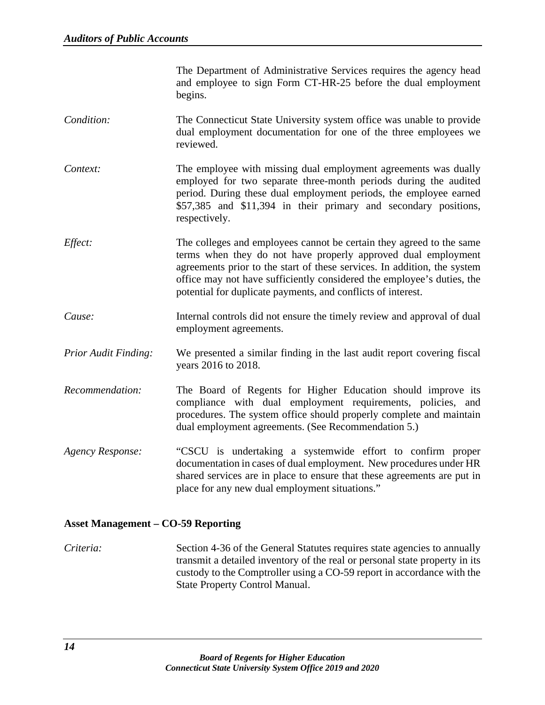The Department of Administrative Services requires the agency head and employee to sign Form CT-HR-25 before the dual employment begins.

- *Condition:* The Connecticut State University system office was unable to provide dual employment documentation for one of the three employees we reviewed.
- *Context:* The employee with missing dual employment agreements was dually employed for two separate three-month periods during the audited period. During these dual employment periods, the employee earned \$57,385 and \$11,394 in their primary and secondary positions, respectively.
- *Effect:* The colleges and employees cannot be certain they agreed to the same terms when they do not have properly approved dual employment agreements prior to the start of these services. In addition, the system office may not have sufficiently considered the employee's duties, the potential for duplicate payments, and conflicts of interest.
- *Cause:* Internal controls did not ensure the timely review and approval of dual employment agreements.
- *Prior Audit Finding:* We presented a similar finding in the last audit report covering fiscal years 2016 to 2018.
- *Recommendation:* The Board of Regents for Higher Education should improve its compliance with dual employment requirements, policies, and procedures. The system office should properly complete and maintain dual employment agreements. (See Recommendation 5.)
- *Agency Response:* "CSCU is undertaking a systemwide effort to confirm proper documentation in cases of dual employment. New procedures under HR shared services are in place to ensure that these agreements are put in place for any new dual employment situations."

#### **Asset Management – CO-59 Reporting**

*Criteria:* Section 4-36 of the General Statutes requires state agencies to annually transmit a detailed inventory of the real or personal state property in its custody to the Comptroller using a CO-59 report in accordance with the State Property Control Manual.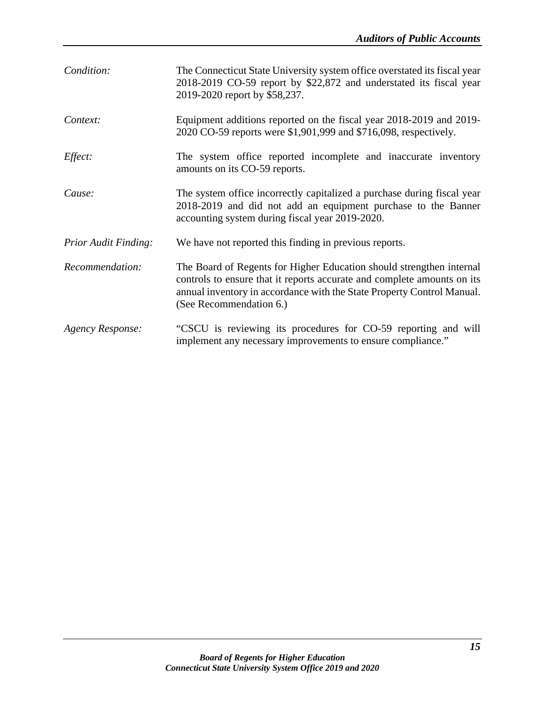| Condition:                  | The Connecticut State University system office overstated its fiscal year<br>2018-2019 CO-59 report by \$22,872 and understated its fiscal year<br>2019-2020 report by \$58,237.                                                                     |
|-----------------------------|------------------------------------------------------------------------------------------------------------------------------------------------------------------------------------------------------------------------------------------------------|
| Context:                    | Equipment additions reported on the fiscal year 2018-2019 and 2019-<br>2020 CO-59 reports were \$1,901,999 and \$716,098, respectively.                                                                                                              |
| Effect:                     | The system office reported incomplete and inaccurate inventory<br>amounts on its CO-59 reports.                                                                                                                                                      |
| Cause:                      | The system office incorrectly capitalized a purchase during fiscal year<br>2018-2019 and did not add an equipment purchase to the Banner<br>accounting system during fiscal year 2019-2020.                                                          |
| <b>Prior Audit Finding:</b> | We have not reported this finding in previous reports.                                                                                                                                                                                               |
| Recommendation:             | The Board of Regents for Higher Education should strengthen internal<br>controls to ensure that it reports accurate and complete amounts on its<br>annual inventory in accordance with the State Property Control Manual.<br>(See Recommendation 6.) |
| Agency Response:            | "CSCU is reviewing its procedures for CO-59 reporting and will<br>implement any necessary improvements to ensure compliance."                                                                                                                        |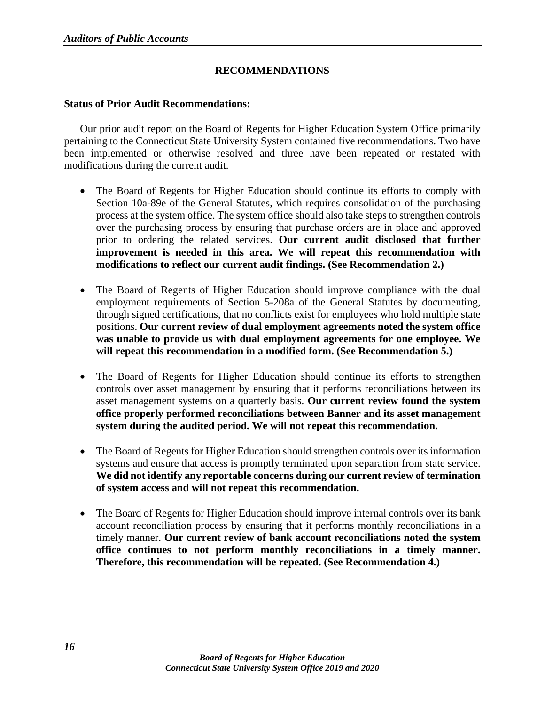# **RECOMMENDATIONS**

#### **Status of Prior Audit Recommendations:**

Our prior audit report on the Board of Regents for Higher Education System Office primarily pertaining to the Connecticut State University System contained five recommendations. Two have been implemented or otherwise resolved and three have been repeated or restated with modifications during the current audit.

- The Board of Regents for Higher Education should continue its efforts to comply with Section 10a-89e of the General Statutes, which requires consolidation of the purchasing process at the system office. The system office should also take steps to strengthen controls over the purchasing process by ensuring that purchase orders are in place and approved prior to ordering the related services. **Our current audit disclosed that further improvement is needed in this area. We will repeat this recommendation with modifications to reflect our current audit findings. (See Recommendation 2.)**
- The Board of Regents of Higher Education should improve compliance with the dual employment requirements of Section 5-208a of the General Statutes by documenting, through signed certifications, that no conflicts exist for employees who hold multiple state positions. **Our current review of dual employment agreements noted the system office was unable to provide us with dual employment agreements for one employee. We will repeat this recommendation in a modified form. (See Recommendation 5.)**
- The Board of Regents for Higher Education should continue its efforts to strengthen controls over asset management by ensuring that it performs reconciliations between its asset management systems on a quarterly basis. **Our current review found the system office properly performed reconciliations between Banner and its asset management system during the audited period. We will not repeat this recommendation.**
- The Board of Regents for Higher Education should strengthen controls over its information systems and ensure that access is promptly terminated upon separation from state service. **We did not identify any reportable concerns during our current review of termination of system access and will not repeat this recommendation.**
- The Board of Regents for Higher Education should improve internal controls over its bank account reconciliation process by ensuring that it performs monthly reconciliations in a timely manner. **Our current review of bank account reconciliations noted the system office continues to not perform monthly reconciliations in a timely manner. Therefore, this recommendation will be repeated. (See Recommendation 4.)**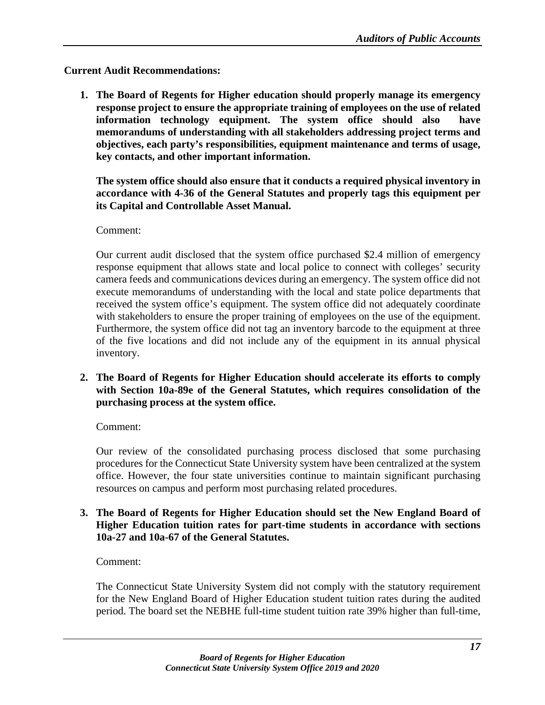# **Current Audit Recommendations:**

**1. The Board of Regents for Higher education should properly manage its emergency response project to ensure the appropriate training of employees on the use of related information technology equipment. The system office should also have memorandums of understanding with all stakeholders addressing project terms and objectives, each party's responsibilities, equipment maintenance and terms of usage, key contacts, and other important information.**

**The system office should also ensure that it conducts a required physical inventory in accordance with 4-36 of the General Statutes and properly tags this equipment per its Capital and Controllable Asset Manual.**

# Comment:

Our current audit disclosed that the system office purchased \$2.4 million of emergency response equipment that allows state and local police to connect with colleges' security camera feeds and communications devices during an emergency. The system office did not execute memorandums of understanding with the local and state police departments that received the system office's equipment. The system office did not adequately coordinate with stakeholders to ensure the proper training of employees on the use of the equipment. Furthermore, the system office did not tag an inventory barcode to the equipment at three of the five locations and did not include any of the equipment in its annual physical inventory.

**2. The Board of Regents for Higher Education should accelerate its efforts to comply with Section 10a-89e of the General Statutes, which requires consolidation of the purchasing process at the system office.**

Comment:

Our review of the consolidated purchasing process disclosed that some purchasing procedures for the Connecticut State University system have been centralized at the system office. However, the four state universities continue to maintain significant purchasing resources on campus and perform most purchasing related procedures.

#### **3. The Board of Regents for Higher Education should set the New England Board of Higher Education tuition rates for part-time students in accordance with sections 10a-27 and 10a-67 of the General Statutes.**

# Comment:

The Connecticut State University System did not comply with the statutory requirement for the New England Board of Higher Education student tuition rates during the audited period. The board set the NEBHE full-time student tuition rate 39% higher than full-time,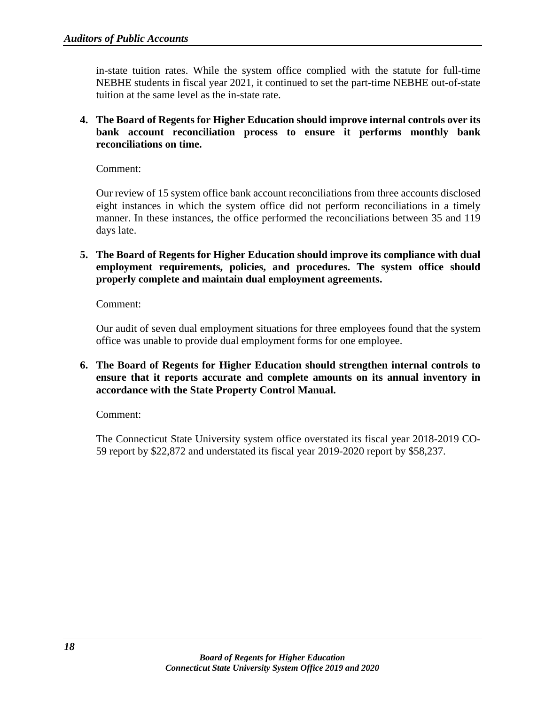in-state tuition rates. While the system office complied with the statute for full-time NEBHE students in fiscal year 2021, it continued to set the part-time NEBHE out-of-state tuition at the same level as the in-state rate.

**4. The Board of Regents for Higher Education should improve internal controls over its bank account reconciliation process to ensure it performs monthly bank reconciliations on time.**

Comment:

Our review of 15 system office bank account reconciliations from three accounts disclosed eight instances in which the system office did not perform reconciliations in a timely manner. In these instances, the office performed the reconciliations between 35 and 119 days late.

**5. The Board of Regents for Higher Education should improve its compliance with dual employment requirements, policies, and procedures. The system office should properly complete and maintain dual employment agreements.**

Comment:

Our audit of seven dual employment situations for three employees found that the system office was unable to provide dual employment forms for one employee.

**6. The Board of Regents for Higher Education should strengthen internal controls to ensure that it reports accurate and complete amounts on its annual inventory in accordance with the State Property Control Manual.**

Comment:

The Connecticut State University system office overstated its fiscal year 2018-2019 CO-59 report by \$22,872 and understated its fiscal year 2019-2020 report by \$58,237.